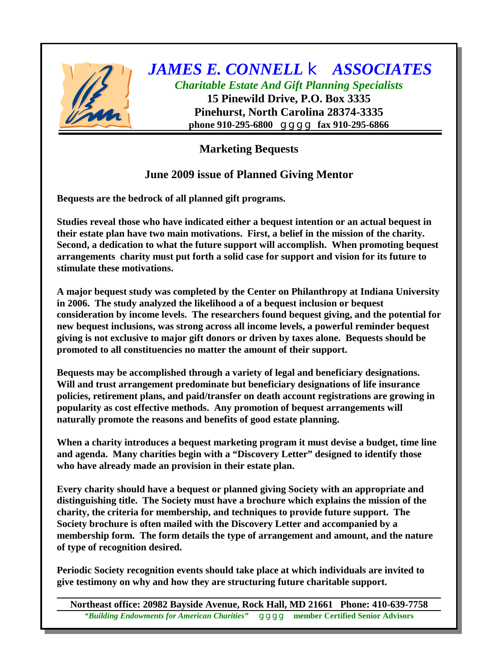

## *JAMES E. CONNELL* k *ASSOCIATES Charitable Estate And Gift Planning Specialists*

**15 Pinewild Drive, P.O. Box 3335 Pinehurst, North Carolina 28374-3335 phone 910-295-6800** g g g g **fax 910-295-6866**

## **Marketing Bequests**

## **June 2009 issue of Planned Giving Mentor**

**Bequests are the bedrock of all planned gift programs.**

**Studies reveal those who have indicated either a bequest intention or an actual bequest in their estate plan have two main motivations. First, a belief in the mission of the charity. Second, a dedication to what the future support will accomplish. When promoting bequest arrangements charity must put forth a solid case for support and vision for its future to stimulate these motivations.**

**A major bequest study was completed by the Center on Philanthropy at Indiana University in 2006. The study analyzed the likelihood a of a bequest inclusion or bequest consideration by income levels. The researchers found bequest giving, and the potential for new bequest inclusions, was strong across all income levels, a powerful reminder bequest giving is not exclusive to major gift donors or driven by taxes alone. Bequests should be promoted to all constituencies no matter the amount of their support.**

**Bequests may be accomplished through a variety of legal and beneficiary designations. Will and trust arrangement predominate but beneficiary designations of life insurance policies, retirement plans, and paid/transfer on death account registrations are growing in popularity as cost effective methods. Any promotion of bequest arrangements will naturally promote the reasons and benefits of good estate planning.**

**When a charity introduces a bequest marketing program it must devise a budget, time line and agenda. Many charities begin with a "Discovery Letter" designed to identify those who have already made an provision in their estate plan.**

**Every charity should have a bequest or planned giving Society with an appropriate and distinguishing title. The Society must have a brochure which explains the mission of the charity, the criteria for membership, and techniques to provide future support. The Society brochure is often mailed with the Discovery Letter and accompanied by a membership form. The form details the type of arrangement and amount, and the nature of type of recognition desired.**

**Periodic Society recognition events should take place at which individuals are invited to give testimony on why and how they are structuring future charitable support.**